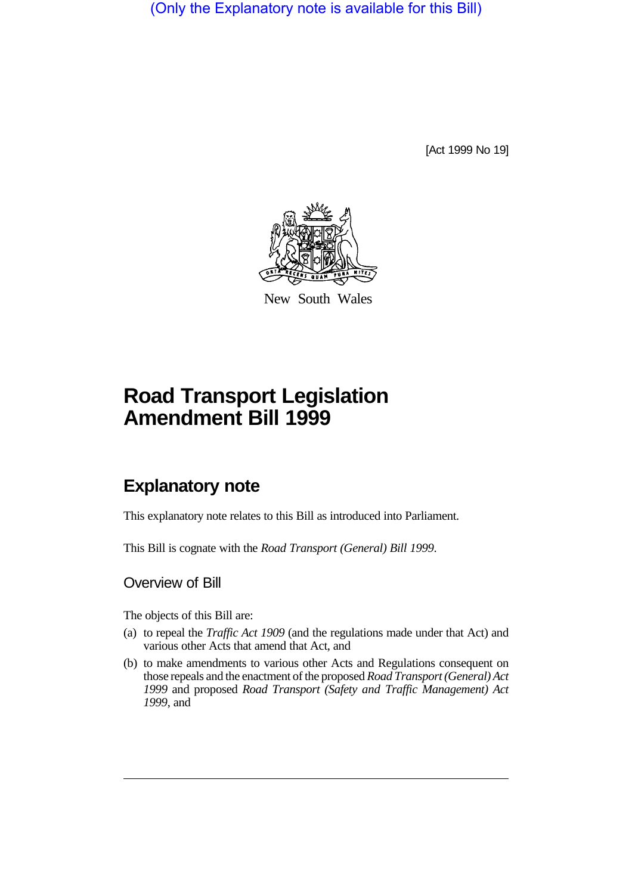(Only the Explanatory note is available for this Bill)

[Act 1999 No 19]



New South Wales

# **Road Transport Legislation Amendment Bill 1999**

## **Explanatory note**

This explanatory note relates to this Bill as introduced into Parliament.

This Bill is cognate with the *Road Transport (General) Bill 1999*.

### Overview of Bill

The objects of this Bill are:

- (a) to repeal the *Traffic Act 1909* (and the regulations made under that Act) and various other Acts that amend that Act, and
- (b) to make amendments to various other Acts and Regulations consequent on those repeals and the enactment of the proposed *Road Transport (General) Act 1999* and proposed *Road Transport (Safety and Traffic Management) Act 1999*, and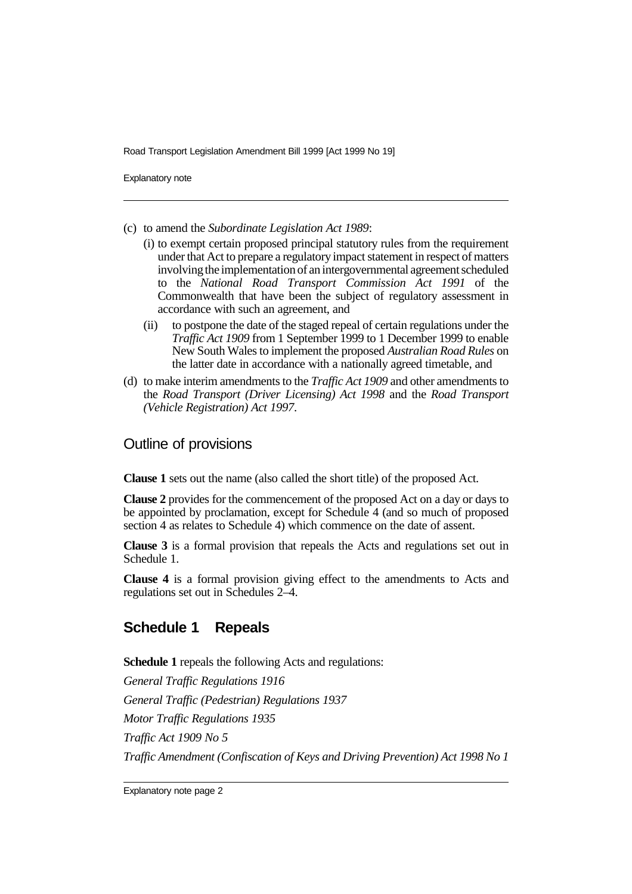Explanatory note

- (c) to amend the *Subordinate Legislation Act 1989*:
	- (i) to exempt certain proposed principal statutory rules from the requirement under that Act to prepare a regulatory impact statement in respect of matters involving the implementation of an intergovernmental agreement scheduled to the *National Road Transport Commission Act 1991* of the Commonwealth that have been the subject of regulatory assessment in accordance with such an agreement, and
	- (ii) to postpone the date of the staged repeal of certain regulations under the *Traffic Act 1909* from 1 September 1999 to 1 December 1999 to enable New South Wales to implement the proposed *Australian Road Rules* on the latter date in accordance with a nationally agreed timetable, and
- (d) to make interim amendments to the *Traffic Act 1909* and other amendments to the *Road Transport (Driver Licensing) Act 1998* and the *Road Transport (Vehicle Registration) Act 1997*.

#### Outline of provisions

**Clause 1** sets out the name (also called the short title) of the proposed Act.

**Clause 2** provides for the commencement of the proposed Act on a day or days to be appointed by proclamation, except for Schedule 4 (and so much of proposed section 4 as relates to Schedule 4) which commence on the date of assent.

**Clause 3** is a formal provision that repeals the Acts and regulations set out in Schedule 1.

**Clause 4** is a formal provision giving effect to the amendments to Acts and regulations set out in Schedules 2–4.

### **Schedule 1 Repeals**

**Schedule 1** repeals the following Acts and regulations:

*General Traffic Regulations 1916 General Traffic (Pedestrian) Regulations 1937 Motor Traffic Regulations 1935 Traffic Act 1909 No 5 Traffic Amendment (Confiscation of Keys and Driving Prevention) Act 1998 No 1*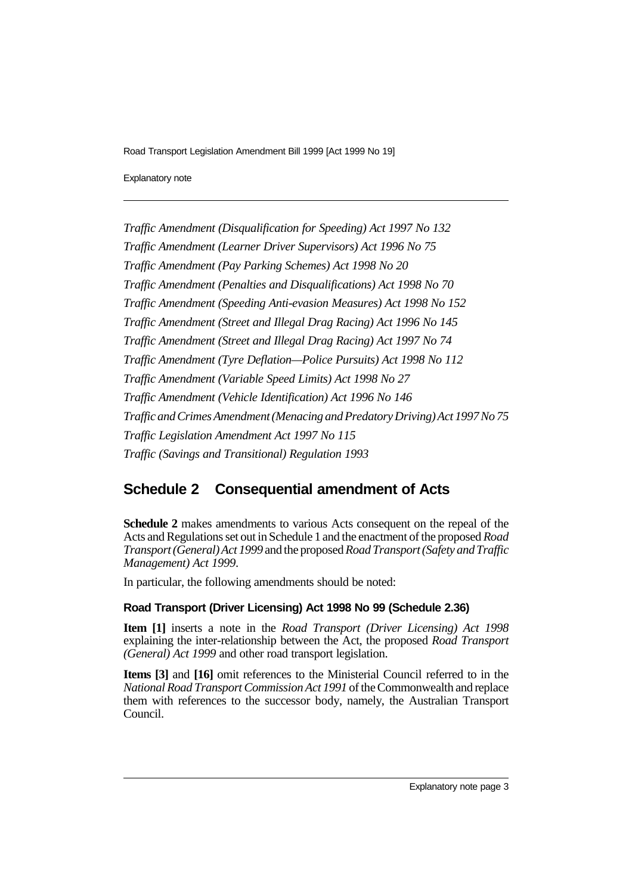Explanatory note

*Traffic Amendment (Disqualification for Speeding) Act 1997 No 132 Traffic Amendment (Learner Driver Supervisors) Act 1996 No 75 Traffic Amendment (Pay Parking Schemes) Act 1998 No 20 Traffic Amendment (Penalties and Disqualifications) Act 1998 No 70 Traffic Amendment (Speeding Anti-evasion Measures) Act 1998 No 152 Traffic Amendment (Street and Illegal Drag Racing) Act 1996 No 145 Traffic Amendment (Street and Illegal Drag Racing) Act 1997 No 74 Traffic Amendment (Tyre Deflation—Police Pursuits) Act 1998 No 112 Traffic Amendment (Variable Speed Limits) Act 1998 No 27 Traffic Amendment (Vehicle Identification) Act 1996 No 146 Traffic and Crimes Amendment (Menacing and Predatory Driving) Act 1997 No 75 Traffic Legislation Amendment Act 1997 No 115 Traffic (Savings and Transitional) Regulation 1993*

## **Schedule 2 Consequential amendment of Acts**

**Schedule 2** makes amendments to various Acts consequent on the repeal of the Acts and Regulations set out in Schedule 1 and the enactment of the proposed *Road Transport (General) Act 1999* and the proposed *Road Transport (Safety and Traffic Management) Act 1999*.

In particular, the following amendments should be noted:

#### **Road Transport (Driver Licensing) Act 1998 No 99 (Schedule 2.36)**

**Item [1]** inserts a note in the *Road Transport (Driver Licensing) Act 1998* explaining the inter-relationship between the Act, the proposed *Road Transport (General) Act 1999* and other road transport legislation.

**Items [3]** and **[16]** omit references to the Ministerial Council referred to in the *National Road Transport Commission Act 1991* of the Commonwealth and replace them with references to the successor body, namely, the Australian Transport Council.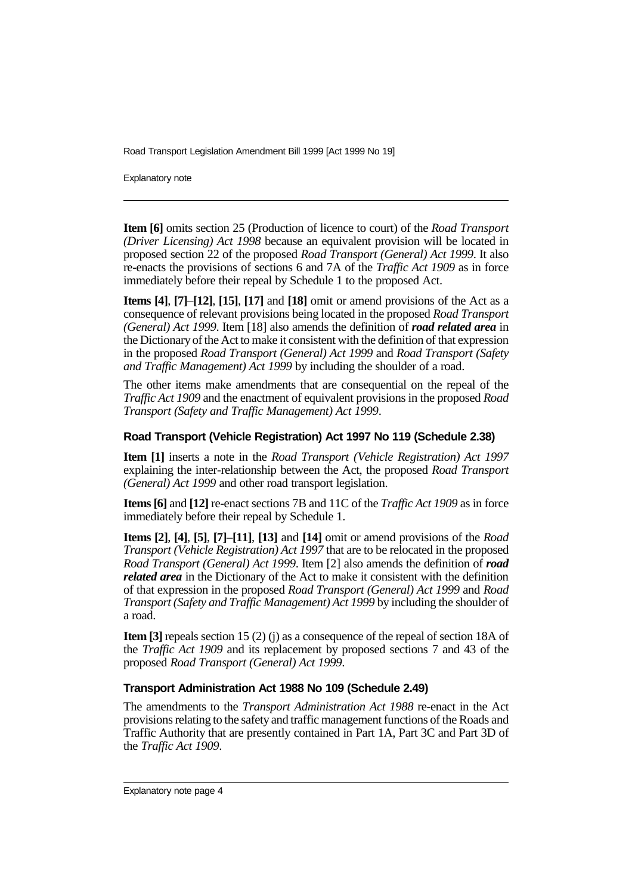Explanatory note

**Item [6]** omits section 25 (Production of licence to court) of the *Road Transport (Driver Licensing) Act 1998* because an equivalent provision will be located in proposed section 22 of the proposed *Road Transport (General) Act 1999*. It also re-enacts the provisions of sections 6 and 7A of the *Traffic Act 1909* as in force immediately before their repeal by Schedule 1 to the proposed Act.

**Items [4]**, **[7]**–**[12]**, **[15]**, **[17]** and **[18]** omit or amend provisions of the Act as a consequence of relevant provisions being located in the proposed *Road Transport (General) Act 1999*. Item [18] also amends the definition of *road related area* in the Dictionary of the Act to make it consistent with the definition of that expression in the proposed *Road Transport (General) Act 1999* and *Road Transport (Safety and Traffic Management) Act 1999* by including the shoulder of a road.

The other items make amendments that are consequential on the repeal of the *Traffic Act 1909* and the enactment of equivalent provisions in the proposed *Road Transport (Safety and Traffic Management) Act 1999*.

#### **Road Transport (Vehicle Registration) Act 1997 No 119 (Schedule 2.38)**

**Item [1]** inserts a note in the *Road Transport (Vehicle Registration) Act 1997* explaining the inter-relationship between the Act, the proposed *Road Transport (General) Act 1999* and other road transport legislation.

**Items [6]** and **[12]** re-enact sections 7B and 11C of the *Traffic Act 1909* as in force immediately before their repeal by Schedule 1.

**Items [2]**, **[4]**, **[5]**, **[7]**–**[11]**, **[13]** and **[14]** omit or amend provisions of the *Road Transport (Vehicle Registration) Act 1997* that are to be relocated in the proposed *Road Transport (General) Act 1999*. Item [2] also amends the definition of *road related area* in the Dictionary of the Act to make it consistent with the definition of that expression in the proposed *Road Transport (General) Act 1999* and *Road Transport (Safety and Traffic Management) Act 1999* by including the shoulder of a road.

**Item [3]** repeals section 15 (2) (j) as a consequence of the repeal of section 18A of the *Traffic Act 1909* and its replacement by proposed sections 7 and 43 of the proposed *Road Transport (General) Act 1999*.

#### **Transport Administration Act 1988 No 109 (Schedule 2.49)**

The amendments to the *Transport Administration Act 1988* re-enact in the Act provisions relating to the safety and traffic management functions of the Roads and Traffic Authority that are presently contained in Part 1A, Part 3C and Part 3D of the *Traffic Act 1909*.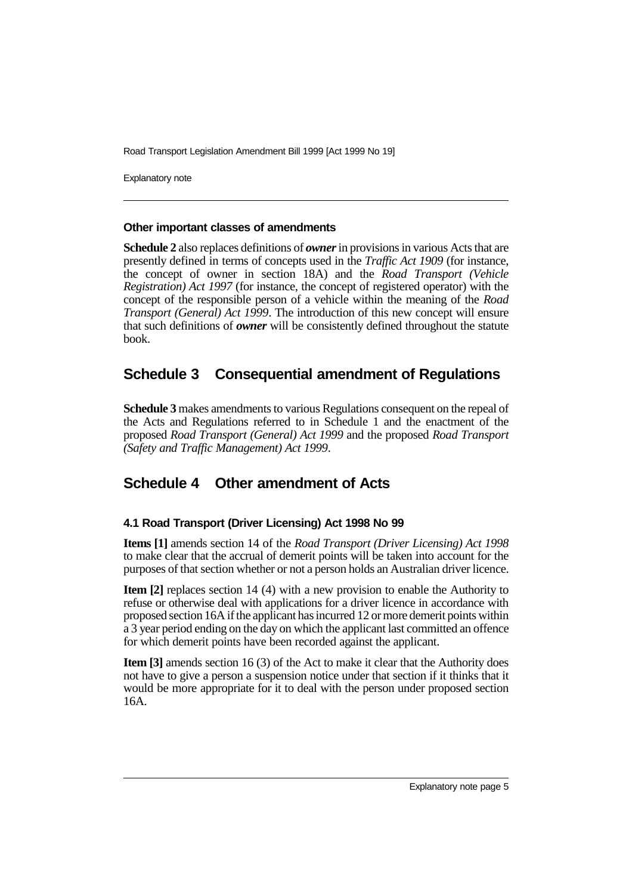Explanatory note

#### **Other important classes of amendments**

**Schedule 2** also replaces definitions of *owner* in provisions in various Acts that are presently defined in terms of concepts used in the *Traffic Act 1909* (for instance, the concept of owner in section 18A) and the *Road Transport (Vehicle Registration) Act 1997* (for instance, the concept of registered operator) with the concept of the responsible person of a vehicle within the meaning of the *Road Transport (General) Act 1999*. The introduction of this new concept will ensure that such definitions of *owner* will be consistently defined throughout the statute book.

## **Schedule 3 Consequential amendment of Regulations**

**Schedule 3** makes amendments to various Regulations consequent on the repeal of the Acts and Regulations referred to in Schedule 1 and the enactment of the proposed *Road Transport (General) Act 1999* and the proposed *Road Transport (Safety and Traffic Management) Act 1999*.

## **Schedule 4 Other amendment of Acts**

### **4.1 Road Transport (Driver Licensing) Act 1998 No 99**

**Items [1]** amends section 14 of the *Road Transport (Driver Licensing) Act 1998* to make clear that the accrual of demerit points will be taken into account for the purposes of that section whether or not a person holds an Australian driver licence.

**Item [2]** replaces section 14 (4) with a new provision to enable the Authority to refuse or otherwise deal with applications for a driver licence in accordance with proposed section 16A if the applicant has incurred 12 or more demerit points within a 3 year period ending on the day on which the applicant last committed an offence for which demerit points have been recorded against the applicant.

**Item [3]** amends section 16 (3) of the Act to make it clear that the Authority does not have to give a person a suspension notice under that section if it thinks that it would be more appropriate for it to deal with the person under proposed section 16A.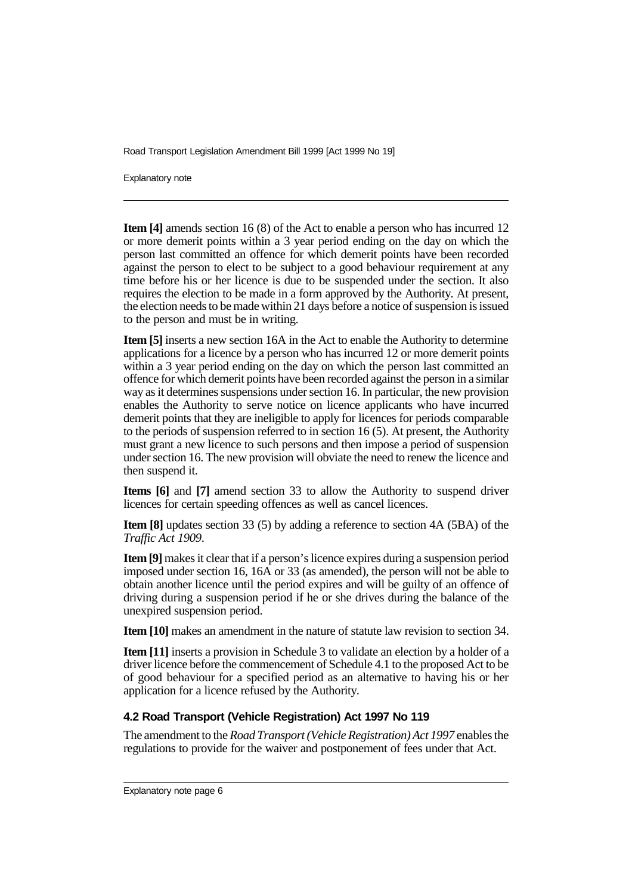Explanatory note

**Item [4]** amends section 16 (8) of the Act to enable a person who has incurred 12 or more demerit points within a 3 year period ending on the day on which the person last committed an offence for which demerit points have been recorded against the person to elect to be subject to a good behaviour requirement at any time before his or her licence is due to be suspended under the section. It also requires the election to be made in a form approved by the Authority. At present, the election needs to be made within 21 days before a notice of suspension is issued to the person and must be in writing.

**Item [5]** inserts a new section 16A in the Act to enable the Authority to determine applications for a licence by a person who has incurred 12 or more demerit points within a 3 year period ending on the day on which the person last committed an offence for which demerit points have been recorded against the person in a similar way as it determines suspensions under section 16. In particular, the new provision enables the Authority to serve notice on licence applicants who have incurred demerit points that they are ineligible to apply for licences for periods comparable to the periods of suspension referred to in section 16 (5). At present, the Authority must grant a new licence to such persons and then impose a period of suspension under section 16. The new provision will obviate the need to renew the licence and then suspend it.

**Items [6]** and **[7]** amend section 33 to allow the Authority to suspend driver licences for certain speeding offences as well as cancel licences.

**Item [8]** updates section 33 (5) by adding a reference to section 4A (5BA) of the *Traffic Act 1909*.

**Item [9]** makes it clear that if a person's licence expires during a suspension period imposed under section 16, 16A or 33 (as amended), the person will not be able to obtain another licence until the period expires and will be guilty of an offence of driving during a suspension period if he or she drives during the balance of the unexpired suspension period.

**Item [10]** makes an amendment in the nature of statute law revision to section 34.

**Item** [11] inserts a provision in Schedule 3 to validate an election by a holder of a driver licence before the commencement of Schedule 4.1 to the proposed Act to be of good behaviour for a specified period as an alternative to having his or her application for a licence refused by the Authority.

#### **4.2 Road Transport (Vehicle Registration) Act 1997 No 119**

The amendment to the *Road Transport (Vehicle Registration) Act 1997* enables the regulations to provide for the waiver and postponement of fees under that Act.